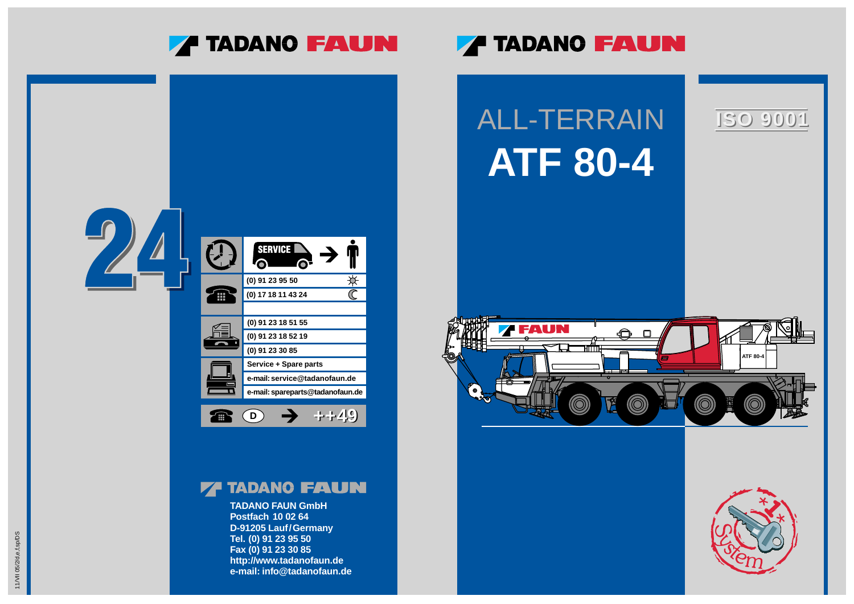

### **ZA TADANO FAUN**



### **77 TADANO FAUN**

**TADANO FAUN GmbH Postfach 10 02 64 D-91205 Lauf/Germany Tel. (0) 91 23 95 50 Fax (0) 91 23 30 85 http://www.tadanofaun.de e-mail: info@tadanofaun.de**

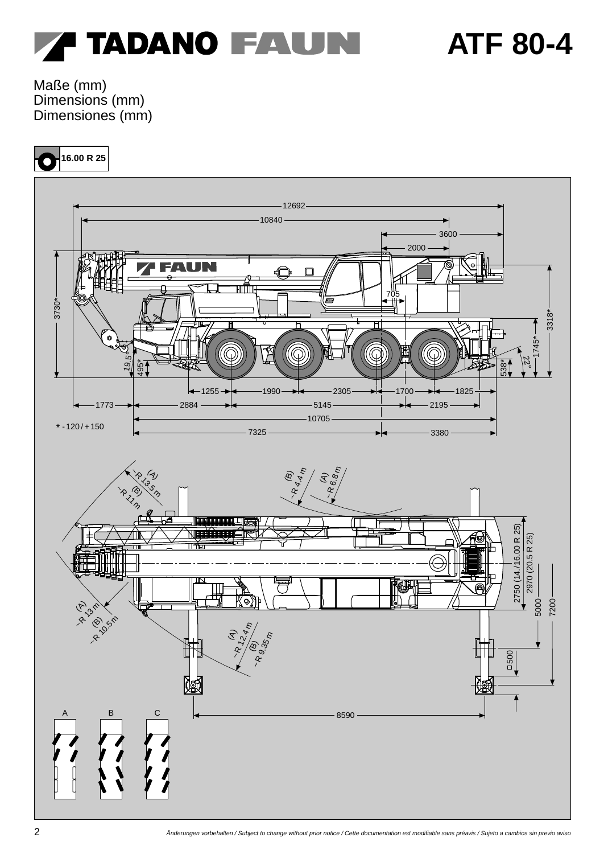

Maße (mm) Dimensions (mm) Dimensiones (mm)

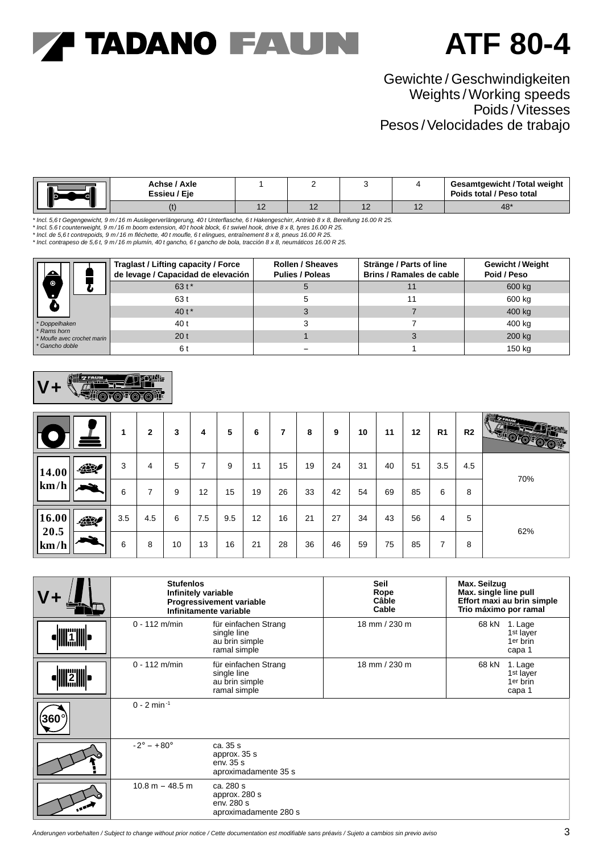### **ATF 80-4**

### Gewichte / Geschwindigkeiten Weights / Working speeds Poids /Vitesses Pesos /Velocidades de trabajo

|  | Achse / Axle<br>Essieu / Eje |   |                          |            | <b>Gesamtgewicht / Total weight</b><br>Poids total / Peso total |
|--|------------------------------|---|--------------------------|------------|-----------------------------------------------------------------|
|  |                              | ╶ | $\overline{\phantom{a}}$ | . <u>.</u> | 48'                                                             |

\* Incl. 5,6 t Gegengewicht, 9 m/16 m Auslegerverlängerung, 40 t Unterflasche, 6 t Hakengeschirr, Antrieb 8 x 8, Bereifung 16.00 R 25.<br>\* Incl. 5.6 t counterweight, 9 m/16 m boom extension, 40 t hook block, 6 t swivel hook,

\* Incl. de 5,6 t contrepoids, 9 m/16 m fléchette, 40 t moufle, 6 t elingues, entraînement 8 x 8, pneus 16.00 R 25.<br>\* Incl. contrapeso de 5,6 t, 9 m/16 m plumín, 40 t gancho, 6 t gancho de bola, tracción 8 x 8, neumáticos 1

|                                            | Traglast / Lifting capacity / Force<br>de levage / Capacidad de elevación | <b>Rollen / Sheaves</b><br><b>Pulies / Poleas</b> | Stränge / Parts of line<br><b>Brins / Ramales de cable</b> | <b>Gewicht / Weight</b><br>Poid / Peso |
|--------------------------------------------|---------------------------------------------------------------------------|---------------------------------------------------|------------------------------------------------------------|----------------------------------------|
| $\bullet$                                  | $63t*$                                                                    |                                                   |                                                            | 600 kg                                 |
| $\bullet$                                  | 63 t                                                                      | 5                                                 |                                                            | 600 kg                                 |
|                                            | 40 t*                                                                     |                                                   |                                                            | 400 kg                                 |
| *Doppelhaken                               | 40 t                                                                      |                                                   |                                                            | 400 kg                                 |
| * Rams horn<br>* Moufle avec crochet marin | 20 <sub>t</sub>                                                           |                                                   |                                                            | 200 kg                                 |
| * Gancho doble                             | 6 t                                                                       |                                                   |                                                            | 150 kg                                 |



|                                      | ٠   | $\mathbf{2}$ | 3  | 4                 | 5   | 6  | ⇁  | 8  | 9  | 10 | 11 | 12 | R <sub>1</sub> | R <sub>2</sub> | <b>All Carried Street</b><br>$\mathcal{L}(\mathbf{Z} \mathbf{M})$<br><b>MOLOROPHIA</b> |
|--------------------------------------|-----|--------------|----|-------------------|-----|----|----|----|----|----|----|----|----------------|----------------|----------------------------------------------------------------------------------------|
| 427<br>14.00                         | 3   | 4            | 5  | 7                 | 9   | 11 | 15 | 19 | 24 | 31 | 40 | 51 | 3.5            | 4.5            | 70%                                                                                    |
| $\vert \mathbf{km}/\mathbf{h} \vert$ | 6   | ⇁            | 9  | $12 \overline{ }$ | 15  | 19 | 26 | 33 | 42 | 54 | 69 | 85 | 6              | 8              |                                                                                        |
| 16.00<br>427<br>20.5                 | 3.5 | 4.5          | 6  | 7.5               | 9.5 | 12 | 16 | 21 | 27 | 34 | 43 | 56 | 4              | 5              | 62%                                                                                    |
| km/h                                 | 6   | 8            | 10 | 13                | 16  | 21 | 28 | 36 | 46 | 59 | 75 | 85 | ⇁              | 8              |                                                                                        |

|              | <b>Stufenlos</b><br>Infinitely variable | Progressivement variable<br>Infinitamente variable                    | <b>Seil</b><br>Rope<br>Câble<br>Cable | Max. Seilzug<br>Max. single line pull<br>Effort maxi au brin simple<br>Trio máximo por ramal |
|--------------|-----------------------------------------|-----------------------------------------------------------------------|---------------------------------------|----------------------------------------------------------------------------------------------|
| <b>Tille</b> | $0 - 112$ m/min                         | für einfachen Strang<br>single line<br>au brin simple<br>ramal simple | 18 mm / 230 m                         | 68 kN 1. Lage<br>1 <sup>st</sup> layer<br>1er brin<br>capa 1                                 |
|              | $0 - 112$ m/min                         | für einfachen Strang<br>single line<br>au brin simple<br>ramal simple | 18 mm / 230 m                         | 68 kN<br>1. Lage<br>1 <sup>st</sup> layer<br>1er brin<br>capa 1                              |
| 360'         | $0 - 2$ min <sup>-1</sup>               |                                                                       |                                       |                                                                                              |
|              | $-2^{\circ} - +80^{\circ}$              | ca. 35 s<br>approx. 35 s<br>env. 35 s<br>aproximadamente 35 s         |                                       |                                                                                              |
|              | $10.8 m - 48.5 m$                       | ca. 280 s<br>approx. 280 s<br>env. 280 s<br>aproximadamente 280 s     |                                       |                                                                                              |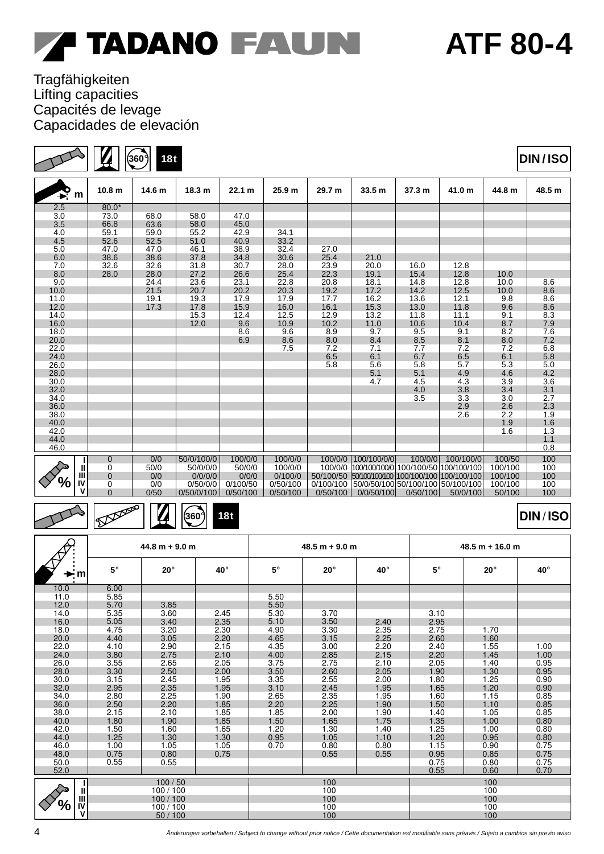### **ATF 80-4**

### Tragfähigkeiten Lifting capacities Capacités de levage Capacidades de elevación

|                |                   | 18t<br>360     |                   |          |          |          |                                                  |          |                   |         | <b>DIN/ISO</b>    |
|----------------|-------------------|----------------|-------------------|----------|----------|----------|--------------------------------------------------|----------|-------------------|---------|-------------------|
| $\mathbf{P}_m$ | 10.8 <sub>m</sub> | 14.6 m         | 18.3 <sub>m</sub> | 22.1 m   | 25.9 m   | 29.7 m   | 33.5 m                                           | 37.3 m   | 41.0 m            | 44.8 m  | 48.5 m            |
| 2.5            | $80.0*$           |                |                   |          |          |          |                                                  |          |                   |         |                   |
| 3.0            | 73.0              | 68.0           | 58.0              | 47.0     |          |          |                                                  |          |                   |         |                   |
| 3.5            | 66.8              | 63.6           | 58.0              | 45.0     |          |          |                                                  |          |                   |         |                   |
| 4.0            | 59.1              | 59.0           | 55.2              | 42.9     | 34.1     |          |                                                  |          |                   |         |                   |
| 4.5            | 52.6              | 52.5           | 51.0              | 40.9     | 33.2     |          |                                                  |          |                   |         |                   |
| 5.0            | 47.0              | 47.0           | 46.1              | 38.9     | 32.4     | 27.0     |                                                  |          |                   |         |                   |
| 6.0            | 38.6              | 38.6           | 37.8              | 34.8     | 30.6     | 25.4     | 21.0                                             |          |                   |         |                   |
| 7.0            | 32.6              | 32.6           | 31.8              | 30.7     | 28.0     | 23.9     | 20.0                                             | 16.0     | 12.8              |         |                   |
| 8.0            | 28.0              | 28.0           | 27.2              | 26.6     | 25.4     | 22.3     | 19.1                                             | 15.4     | 12.8              | 10.0    |                   |
| 9.0            |                   | 24.4           | 23.6              | 23.1     | 22.8     | 20.8     | 18.1                                             | 14.8     | 12.8              | 10.0    | 8.6               |
| 10.0           |                   | 21.5           | 20.7              | 20.2     | 20.3     | 19.2     | 17.2                                             | 14.2     | 12.5              | 10.0    | 8.6               |
| 11.0           |                   | 19.1           | 19.3              | 17.9     | 17.9     | 17.7     | 16.2                                             | 13.6     | 12.1              | 9.8     | 8.6               |
| 12.0           |                   | 17.3           | 17.8              | 15.9     | 16.0     | 16.1     | 15.3                                             | 13.0     | 11.8              | 9.6     | 8.6               |
| 14.0           |                   |                | 15.3              | 12.4     | 12.5     | 12.9     | 13.2                                             | 11.8     | 11.1              | 9.1     |                   |
| 16.0           |                   |                | 12.0              | 9.6      | 10.9     | 10.2     | 11.0                                             | 10.6     | 10.4              | 8.7     | $\frac{8.3}{7.9}$ |
| 18.0           |                   |                |                   | 8.6      | 9.6      | 8.9      | 9.7                                              | 9.5      | 9.1               | 8.2     | 7.6               |
| 20.0           |                   |                |                   | 6.9      | 8.6      | 8.0      | 8.4                                              | 8.5      | 8.1               | 8.0     | 7.2               |
| 22.0           |                   |                |                   |          | 7.5      | 7.2      | 7.1                                              | 7.7      | 7.2               | 7.2     |                   |
| 24.0           |                   |                |                   |          |          | 6.5      | 6.1                                              | 6.7      | 6.5               | 6.1     | $6.8$<br>$5.8$    |
| 26.0           |                   |                |                   |          |          | 5.8      | 5.6                                              | 5.8      | 5.7               | 5.3     | 5.0               |
| 28.0           |                   |                |                   |          |          |          | 5.1                                              | 5.1      | 4.9               | 4.6     | $\frac{4.2}{3.6}$ |
| 30.0           |                   |                |                   |          |          |          | 4.7                                              | 4.5      | 4.3               | 3.9     |                   |
| 32.0           |                   |                |                   |          |          |          |                                                  | 4.0      | 3.8               | 3.4     | 3.1               |
| 34.0           |                   |                |                   |          |          |          |                                                  | 3.5      | 3.3               | 3.0     | 2.7               |
| 36.0           |                   |                |                   |          |          |          |                                                  |          | 2.9               | 2.6     | 2.3               |
| 38.0           |                   |                |                   |          |          |          |                                                  |          | 2.6               | 2.2     | 1.9               |
| 40.0           |                   |                |                   |          |          |          |                                                  |          |                   | 1.9     | 1.6               |
| 42.0           |                   |                |                   |          |          |          |                                                  |          |                   | 1.6     | 1.3               |
| 44.0           |                   |                |                   |          |          |          |                                                  |          |                   |         | 1.1               |
| 46.0           |                   |                |                   |          |          |          |                                                  |          |                   |         | 0.8               |
|                | $\mathbf{0}$      | 0/0            | 50/0/100/0        | 100/0/0  | 100/0/0  | 100/0/0  | 100/100/0/0                                      |          | 100/0/0 100/100/0 | 100/50  | 100               |
| Ш              | 0                 | 50/0           | 50/0/0/0          | 50/0/0   | 100/0/0  |          | 100/0/0 100/100/100/0 100/100/50 100/100/100     |          |                   | 100/100 | 100               |
| Ш              | $\mathbf 0$       | 0/0            | 0/0/0/0           | 0/0/0    | 0/100/0  |          | 50/100/50 50/100/100/100 100/100 100/100 100/100 |          |                   | 100/100 | 100               |
| IV             | 0                 | 0/0            | 0/50/0/0          | 0/100/50 | 0/50/100 |          | 0/100/100 50/0/50/100 50/100/100 50/100/100      |          |                   | 100/100 | 100               |
| ν              | $\overline{0}$    | 0/50           | 0/50/0/100        | 0/50/100 | 0/50/100 | 0/50/100 | 0/0/50/100                                       | 0/50/100 | 50/0/100          | 50/100  | 100               |
| Ā              |                   | $\pi$ or $\pi$ |                   |          |          |          |                                                  |          |                   |         |                   |

|  | 11.SO |  |
|--|-------|--|
|  |       |  |

### **DIN / ISO**

|                |             | $44.8 m + 9.0 m$ |      |           | $48.5 m + 9.0 m$ |      | $48.5 m + 16.0 m$ |              |      |  |
|----------------|-------------|------------------|------|-----------|------------------|------|-------------------|--------------|------|--|
| ►m             | $5^{\circ}$ | $20^\circ$       | 40°  | $5^\circ$ | $20^\circ$       | 40°  | $5^\circ$         | $20^{\circ}$ | 40°  |  |
| 10.0           | 6.00        |                  |      |           |                  |      |                   |              |      |  |
| 11.0           | 5.85        |                  |      | 5.50      |                  |      |                   |              |      |  |
| 12.0           | 5.70        | 3.85             |      | 5.50      |                  |      |                   |              |      |  |
| 14.0           | 5.35        | 3.60             | 2.45 | 5.30      | 3.70             |      | 3.10              |              |      |  |
| 16.0           | 5.05        | 3.40             | 2.35 | 5.10      | 3.50             | 2.40 | 2.95              |              |      |  |
| 18.0           | 4.75        | 3.20             | 2.30 | 4.90      | 3.30             | 2.35 | 2.75              | 1.70         |      |  |
| 20.0           | 4.40        | 3.05             | 2.20 | 4.65      | 3.15             | 2.25 | 2.60              | 1.60         |      |  |
| 22.0           | 4.10        | 2.90             | 2.15 | 4.35      | 3.00             | 2.20 | 2.40              | 1.55         | 1.00 |  |
| 24.0           | 3.80        | 2.75             | 2.10 | 4.00      | 2.85             | 2.15 | 2.20              | 1.45         | 1.00 |  |
| 26.0           | 3.55        | 2.65             | 2.05 | 3.75      | 2.75             | 2.10 | 2.05              | 1.40         | 0.95 |  |
| 28.0           | 3.30        | 2.50             | 2.00 | 3.50      | 2.60             | 2.05 | 1.90              | 1.30         | 0.95 |  |
| 30.0           | 3.15        | 2.45             | 1.95 | 3.35      | 2.55             | 2.00 | 1.80              | 1.25         | 0.90 |  |
| 32.0           | 2.95        | 2.35             | 1.95 | 3.10      | 2.45             | 1.95 | 1.65              | 1.20         | 0.90 |  |
| 34.0           | 2.80        | 2.25             | 1.90 | 2.65      | 2.35             | 1.95 | 1.60              | 1.15         | 0.85 |  |
| 36.0           | 2.50        | 2.20             | 1.85 | 2.20      | 2.25             | 1.90 | 1.50              | 1.10         | 0.85 |  |
| 38.0           | 2.15        | 2.10             | 1.85 | 1.85      | 2.00             | 1.90 | 1.40              | 1.05         | 0.85 |  |
| 40.0           | 1.80        | 1.90             | 1.85 | 1.50      | 1.65             | 1.75 | 1.35              | 1.00         | 0.80 |  |
| 42.0           | 1.50        | 1.60             | 1.65 | 1.20      | 1.30             | 1.40 | 1.25              | 1.00         | 0.80 |  |
| 44.0           | 1.25        | 1.30             | 1.30 | 0.95      | 1.05             | 1.10 | 1.20              | 0.95         | 0.80 |  |
| 46.0           | 1.00        | 1.05             | 1.05 | 0.70      | 0.80             | 0.80 | 1.15              | 0.90         | 0.75 |  |
| 48.0           | 0.75        | 0.80             | 0.75 |           | 0.55             | 0.55 | 0.95              | 0.85         | 0.75 |  |
| 50.0           | 0.55        | 0.55             |      |           |                  |      | 0.75              | 0.80         | 0.75 |  |
| 52.0           |             |                  |      |           |                  |      | 0.55              | 0.60         | 0.70 |  |
| L              |             | 100/50           |      |           | 100              |      |                   | 100          |      |  |
| Ш              |             | 100/100          |      |           | 100              |      |                   | 100          |      |  |
| $\mathbf{III}$ |             | 100/100          |      |           | 100              |      |                   | 100          |      |  |
| ℅<br>IV        |             | 100/100          |      |           | 100              |      |                   | 100          |      |  |
| V              |             | 50 / 100         |      |           | 100              |      |                   | 100          |      |  |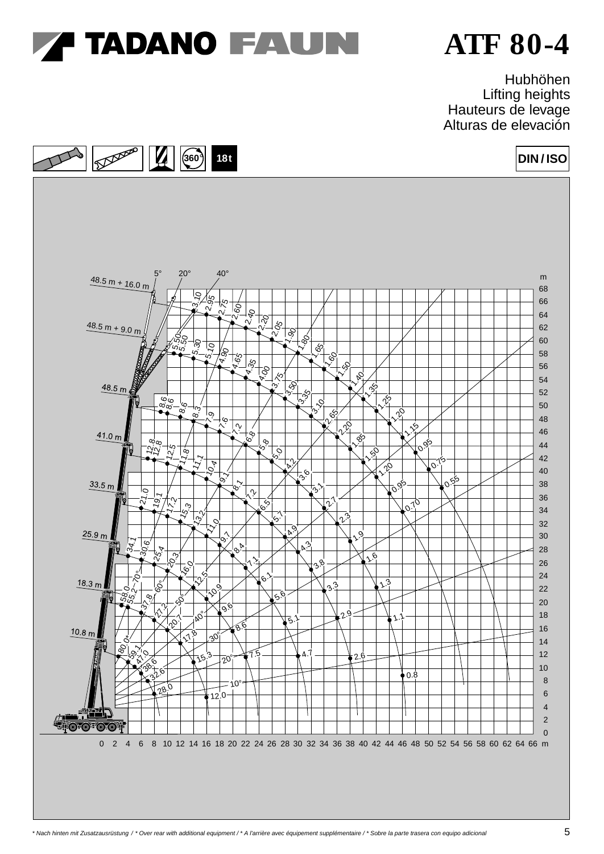

Hubhöhen Lifting heights Hauteurs de levage Alturas de elevación

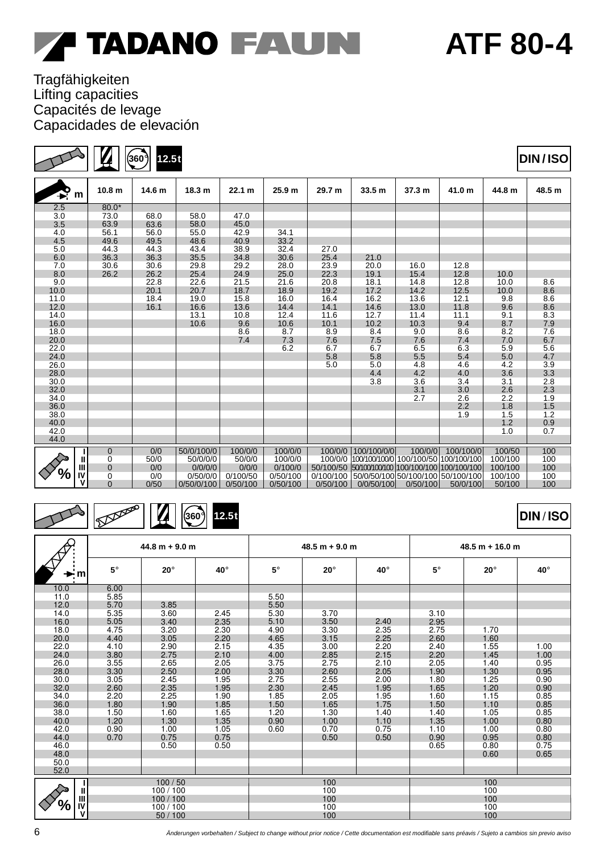### Tragfähigkeiten Lifting capacities Capacités de levage Capacidades de elevación

 $\mathbf{Z}$ 

S

**360**° **12.5t \***

| $\mathbf{P}_m$ | 10.8 <sub>m</sub> | 14.6 m | 18.3 m     | 22.1 m   | 25.9 <sub>m</sub> | 29.7 m   | 33.5 m                                           | 37.3 m   | 41.0 m    | 44.8 m  | 48.5 m |
|----------------|-------------------|--------|------------|----------|-------------------|----------|--------------------------------------------------|----------|-----------|---------|--------|
| 2.5            | $80.0*$           |        |            |          |                   |          |                                                  |          |           |         |        |
| 3.0            | 73.0              | 68.0   | 58.0       | 47.0     |                   |          |                                                  |          |           |         |        |
| 3.5            | 63.9              | 63.6   | 58.0       | 45.0     |                   |          |                                                  |          |           |         |        |
| 4.0            | 56.1              | 56.0   | 55.0       | 42.9     | 34.1              |          |                                                  |          |           |         |        |
| 4.5            | 49.6              | 49.5   | 48.6       | 40.9     | 33.2              |          |                                                  |          |           |         |        |
| 5.0            | 44.3              | 44.3   | 43.4       | 38.9     | 32.4              | 27.0     |                                                  |          |           |         |        |
| 6.0            | 36.3              | 36.3   | 35.5       | 34.8     | 30.6              | 25.4     | 21.0                                             |          |           |         |        |
| 7.0            | 30.6              | 30.6   | 29.8       | 29.2     | 28.0              | 23.9     | 20.0                                             | 16.0     | 12.8      |         |        |
| 8.0            | 26.2              | 26.2   | 25.4       | 24.9     | 25.0              | 22.3     | 19.1                                             | 15.4     | 12.8      | 10.0    |        |
| 9.0            |                   | 22.8   | 22.6       | 21.5     | 21.6              | 20.8     | 18.1                                             | 14.8     | 12.8      | 10.0    | 8.6    |
| 10.0           |                   | 20.1   | 20.7       | 18.7     | 18.9              | 19.2     | 17.2                                             | 14.2     | 12.5      | 10.0    | 8.6    |
| 11.0           |                   | 18.4   | 19.0       | 15.8     | 16.0              | 16.4     | 16.2                                             | 13.6     | 12.1      | 9.8     | 8.6    |
| 12.0           |                   | 16.1   | 16.6       | 13.6     | 14.4              | 14.1     | 14.6                                             | 13.0     | 11.8      | 9.6     | 8.6    |
| 14.0           |                   |        | 13.1       | 10.8     | 12.4              | 11.6     | 12.7                                             | 11.4     | 11.1      | 9.1     | 8.3    |
| 16.0           |                   |        | 10.6       | 9.6      | 10.6              | 10.1     | 10.2                                             | 10.3     | 9.4       | 8.7     | 7.9    |
| 18.0           |                   |        |            | 8.6      | 8.7               | 8.9      | 8.4                                              | 9.0      | 8.6       | 8.2     | 7.6    |
| 20.0           |                   |        |            | 7.4      | 7.3               | 7.6      | 7.5                                              | 7.6      | 7.4       | 7.0     | 6.7    |
| 22.0           |                   |        |            |          | 6.2               | 6.7      | 6.7                                              | 6.5      | 6.3       | 5.9     | 5.6    |
| 24.0           |                   |        |            |          |                   | 5.8      | 5.8                                              | 5.5      | 5.4       | 5.0     | 4.7    |
| 26.0           |                   |        |            |          |                   | 5.0      | 5.0                                              | 4.8      | 4.6       | 4.2     | 3.9    |
| 28.0           |                   |        |            |          |                   |          | 4.4                                              | 4.2      | 4.0       | 3.6     | 3.3    |
| 30.0           |                   |        |            |          |                   |          | 3.8                                              | 3.6      | 3.4       | 3.1     | 2.8    |
| 32.0           |                   |        |            |          |                   |          |                                                  | 3.1      | 3.0       | 2.6     | 2.3    |
| 34.0           |                   |        |            |          |                   |          |                                                  | 2.7      | 2.6       | 2.2     | 1.9    |
| 36.0           |                   |        |            |          |                   |          |                                                  |          | 2.2       | 1.8     | 1.5    |
| 38.0           |                   |        |            |          |                   |          |                                                  |          | 1.9       | 1.5     | 1.2    |
| 40.0           |                   |        |            |          |                   |          |                                                  |          |           | 1.2     | 0.9    |
| 42.0           |                   |        |            |          |                   |          |                                                  |          |           | 1.0     | 0.7    |
| 44.0           |                   |        |            |          |                   |          |                                                  |          |           |         |        |
|                | $\overline{0}$    | 0/0    | 50/0/100/0 | 100/0/0  | 100/0/0           | 100/0/0  | 100/100/0/0                                      | 100/0/0  | 100/100/0 | 100/50  | 100    |
| Ш              | 0                 | 50/0   | 50/0/0/0   | 50/0/0   | 100/0/0           |          | 100/0/0 100/100/100/0 100/100/50 100/100/100     |          |           | 100/100 | 100    |
| Ш              | $\mathbf{0}$      | 0/0    | 0/0/0/0    | 0/0/0    | 0/100/0           |          | 50/100/50 50/100/100/100 100/100 100/100 100/100 |          |           | 100/100 | 100    |
| IV             | 0                 | 0/0    | 0/50/0/0   | 0/100/50 | 0/50/100          |          | 0/100/100 50/0/50/100 50/100/100 50/100/100      |          |           | 100/100 | 100    |
| v              | $\Omega$          | 0/50   | 0/50/0/100 | 0/50/100 | 0/50/100          | 0/50/100 | 0/0/50/100                                       | 0/50/100 | 50/0/100  | 50/100  | 100    |

#### $\overline{\mathcal{P}}$ Depter **360**° **12.5t** P  $\overline{\mathbf{A}}$

|                         |           | $44.8 m + 9.0 m$ |      |           | $48.5 m + 9.0 m$ |      | $48.5 m + 16.0 m$ |            |      |  |
|-------------------------|-----------|------------------|------|-----------|------------------|------|-------------------|------------|------|--|
| $\blacktriangleright$ m | $5^\circ$ | $20^\circ$       | 40°  | $5^\circ$ | $20^\circ$       | 40°  | $5^\circ$         | $20^\circ$ | 40°  |  |
| 10.0                    | 6.00      |                  |      |           |                  |      |                   |            |      |  |
| 11.0                    | 5.85      |                  |      | 5.50      |                  |      |                   |            |      |  |
| 12.0                    | 5.70      | 3.85             |      | 5.50      |                  |      |                   |            |      |  |
| 14.0                    | 5.35      | 3.60             | 2.45 | 5.30      | 3.70             |      | 3.10              |            |      |  |
| 16.0                    | 5.05      | 3.40             | 2.35 | 5.10      | 3.50             | 2.40 | 2.95              |            |      |  |
| 18.0                    | 4.75      | 3.20             | 2.30 | 4.90      | 3.30             | 2.35 | 2.75              | 1.70       |      |  |
| 20.0                    | 4.40      | 3.05             | 2.20 | 4.65      | 3.15             | 2.25 | 2.60              | 1.60       |      |  |
| 22.0                    | 4.10      | 2.90             | 2.15 | 4.35      | 3.00             | 2.20 | 2.40              | 1.55       | 1.00 |  |
| 24.0                    | 3.80      | 2.75             | 2.10 | 4.00      | 2.85             | 2.15 | 2.20              | 1.45       | 1.00 |  |
| 26.0                    | 3.55      | 2.65             | 2.05 | 3.75      | 2.75             | 2.10 | 2.05              | 1.40       | 0.95 |  |
| 28.0                    | 3.30      | 2.50             | 2.00 | 3.30      | 2.60             | 2.05 | 1.90              | 1.30       | 0.95 |  |
| 30.0                    | 3.05      | 2.45             | 1.95 | 2.75      | 2.55             | 2.00 | 1.80              | 1.25       | 0.90 |  |
| 32.0                    | 2.60      | 2.35             | 1.95 | 2.30      | 2.45             | 1.95 | 1.65              | 1.20       | 0.90 |  |
| 34.0                    | 2.20      | 2.25             | 1.90 | 1.85      | 2.05             | 1.95 | 1.60              | 1.15       | 0.85 |  |
| 36.0                    | 1.80      | 1.90             | 1.85 | 1.50      | 1.65             | 1.75 | 1.50              | 1.10       | 0.85 |  |
| 38.0                    | 1.50      | 1.60             | 1.65 | 1.20      | 1.30             | 1.40 | 1.40              | 1.05       | 0.85 |  |
| 40.0                    | 1.20      | 1.30             | 1.35 | 0.90      | 1.00             | 1.10 | 1.35              | 1.00       | 0.80 |  |
| 42.0                    | 0.90      | 1.00             | 1.05 | 0.60      | 0.70             | 0.75 | 1.10              | 1.00       | 0.80 |  |
| 44.0                    | 0.70      | 0.75             | 0.75 |           | 0.50             | 0.50 | 0.90              | 0.95       | 0.80 |  |
| 46.0                    |           | 0.50             | 0.50 |           |                  |      | 0.65              | 0.80       | 0.75 |  |
| 48.0                    |           |                  |      |           |                  |      |                   | 0.60       | 0.65 |  |
| 50.0                    |           |                  |      |           |                  |      |                   |            |      |  |
| 52.0                    |           |                  |      |           |                  |      |                   |            |      |  |
|                         |           | 100/50           |      |           | 100              |      |                   | 100        |      |  |
| $\mathbf{I}$            |           | 100/100          |      |           | 100              |      |                   | 100        |      |  |
| $\mathbf{III}$          |           | 100/100          |      |           | 100              |      |                   | 100        |      |  |
| ℅<br>IV                 |           | 100/100          |      |           | 100              |      |                   | 100        |      |  |
| $\mathsf{v}$            |           | 50/100           |      |           | 100              |      |                   | 100        |      |  |

**DIN / ISO**

### **DIN / ISO**

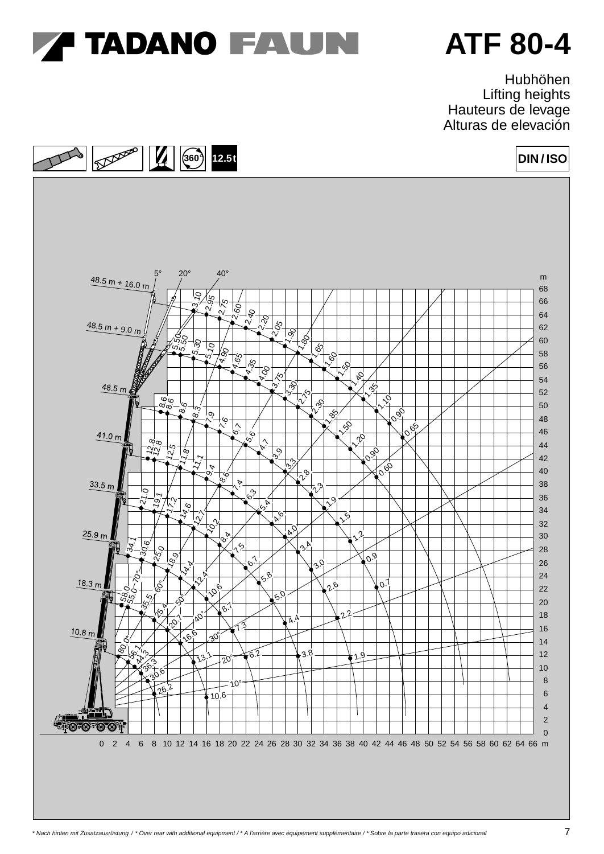

Hubhöhen Lifting heights Hauteurs de levage Alturas de elevación

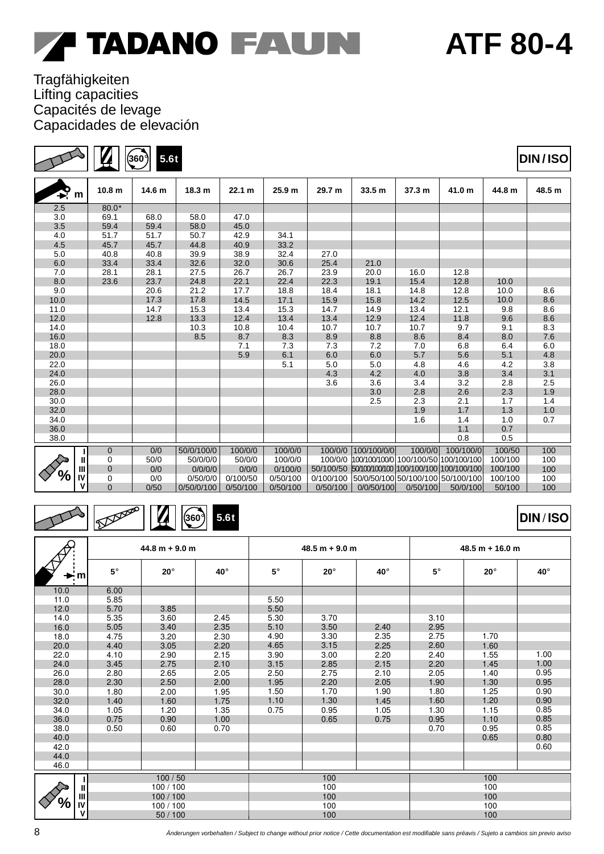### Tragfähigkeiten Lifting capacities Capacités de levage Capacidades de elevación

**360**° **5.6t**

| $\sum_{m}$ |    | 10.8 <sub>m</sub> | 14.6 m | 18.3 m     | 22.1 m   | 25.9 m   | 29.7 m    | 33.5 m                                           | 37.3 m                            | 41.0 m    | 44.8 m  | 48.5 m |
|------------|----|-------------------|--------|------------|----------|----------|-----------|--------------------------------------------------|-----------------------------------|-----------|---------|--------|
| 2.5        |    | $80.0*$           |        |            |          |          |           |                                                  |                                   |           |         |        |
| 3.0        |    | 69.1              | 68.0   | 58.0       | 47.0     |          |           |                                                  |                                   |           |         |        |
| 3.5        |    | 59.4              | 59.4   | 58.0       | 45.0     |          |           |                                                  |                                   |           |         |        |
| 4.0        |    | 51.7              | 51.7   | 50.7       | 42.9     | 34.1     |           |                                                  |                                   |           |         |        |
| 4.5        |    | 45.7              | 45.7   | 44.8       | 40.9     | 33.2     |           |                                                  |                                   |           |         |        |
| 5.0        |    | 40.8              | 40.8   | 39.9       | 38.9     | 32.4     | 27.0      |                                                  |                                   |           |         |        |
| 6.0        |    | 33.4              | 33.4   | 32.6       | 32.0     | 30.6     | 25.4      | 21.0                                             |                                   |           |         |        |
| 7.0        |    | 28.1              | 28.1   | 27.5       | 26.7     | 26.7     | 23.9      | 20.0                                             | 16.0                              | 12.8      |         |        |
| 8.0        |    | 23.6              | 23.7   | 24.8       | 22.1     | 22.4     | 22.3      | 19.1                                             | 15.4                              | 12.8      | 10.0    |        |
| 9.0        |    |                   | 20.6   | 21.2       | 17.7     | 18.8     | 18.4      | 18.1                                             | 14.8                              | 12.8      | 10.0    | 8.6    |
| 10.0       |    |                   | 17.3   | 17.8       | 14.5     | 17.1     | 15.9      | 15.8                                             | 14.2                              | 12.5      | 10.0    | 8.6    |
| 11.0       |    |                   | 14.7   | 15.3       | 13.4     | 15.3     | 14.7      | 14.9                                             | 13.4                              | 12.1      | 9.8     | 8.6    |
| 12.0       |    |                   | 12.8   | 13.3       | 12.4     | 13.4     | 13.4      | 12.9                                             | 12.4                              | 11.8      | 9.6     | 8.6    |
| 14.0       |    |                   |        | 10.3       | 10.8     | 10.4     | 10.7      | 10.7                                             | 10.7                              | 9.7       | 9.1     | 8.3    |
| 16.0       |    |                   |        | 8.5        | 8.7      | 8.3      | 8.9       | 8.8                                              | 8.6                               | 8.4       | 8.0     | 7.6    |
| 18.0       |    |                   |        |            | 7.1      | 7.3      | 7.3       | 7.2                                              | 7.0                               | 6.8       | 6.4     | 6.0    |
| 20.0       |    |                   |        |            | 5.9      | 6.1      | 6.0       | 6.0                                              | 5.7                               | $5.6\,$   | 5.1     | 4.8    |
| 22.0       |    |                   |        |            |          | 5.1      | 5.0       | 5.0                                              | 4.8                               | 4.6       | 4.2     | 3.8    |
| 24.0       |    |                   |        |            |          |          | 4.3       | 4.2                                              | 4.0                               | 3.8       | 3.4     | 3.1    |
| 26.0       |    |                   |        |            |          |          | 3.6       | 3.6                                              | 3.4                               | 3.2       | 2.8     | 2.5    |
| 28.0       |    |                   |        |            |          |          |           | 3.0                                              | 2.8                               | 2.6       | 2.3     | 1.9    |
| 30.0       |    |                   |        |            |          |          |           | 2.5                                              | 2.3                               | 2.1       | 1.7     | 1.4    |
| 32.0       |    |                   |        |            |          |          |           |                                                  | 1.9                               | 1.7       | 1.3     | 1.0    |
| 34.0       |    |                   |        |            |          |          |           |                                                  | 1.6                               | 1.4       | 1.0     | 0.7    |
| 36.0       |    |                   |        |            |          |          |           |                                                  |                                   | 1.1       | 0.7     |        |
| 38.0       |    |                   |        |            |          |          |           |                                                  |                                   | 0.8       | 0.5     |        |
|            |    | $\mathbf 0$       | 0/0    | 50/0/100/0 | 100/0/0  | 100/0/0  |           | 100/0/0   100/100/0/0                            | 100/0/0                           | 100/100/0 | 100/50  | 100    |
|            | Ш  | $\mathbf 0$       | 50/0   | 50/0/0/0   | 50/0/0   | 100/0/0  |           | 100/0/0 100/100/100/0 100/100/50 100/100/100     |                                   |           | 100/100 | 100    |
|            | Ш  | $\mathbf 0$       | 0/0    | 0/0/0/0    | 0/0/0    | 0/100/0  |           | 50/100/50 50/100/100/100 100/100 100/100 100/100 |                                   |           | 100/100 | 100    |
| '/o        | IV | 0                 | 0/0    | 0/50/0/0   | 0/100/50 | 0/50/100 | 0/100/100 |                                                  | 50/0/50/100 50/100/100 50/100/100 |           | 100/100 | 100    |
|            | ۷  | $\overline{0}$    | 0/50   | 0/50/0/100 | 0/50/100 | 0/50/100 | 0/50/100  | 0/0/50/100                                       | 0/50/100                          | 50/0/100  | 50/100  | 100    |
|            |    |                   |        |            |          |          |           |                                                  |                                   |           |         |        |



8

|              | $44.8 m + 9.0 m$ |            |      |           | $48.5 m + 9.0 m$ |      | $48.5 m + 16.0 m$ |            |      |  |
|--------------|------------------|------------|------|-----------|------------------|------|-------------------|------------|------|--|
| ∽ mi         | $5^{\circ}$      | $20^\circ$ | 40°  | $5^\circ$ | $20^{\circ}$     | 40°  | $5^{\circ}$       | $20^\circ$ | 40°  |  |
| 10.0         | 6.00             |            |      |           |                  |      |                   |            |      |  |
| 11.0         | 5.85             |            |      | 5.50      |                  |      |                   |            |      |  |
| 12.0         | 5.70             | 3.85       |      | 5.50      |                  |      |                   |            |      |  |
| 14.0         | 5.35             | 3.60       | 2.45 | 5.30      | 3.70             |      | 3.10              |            |      |  |
| 16.0         | 5.05             | 3.40       | 2.35 | 5.10      | 3.50             | 2.40 | 2.95              |            |      |  |
| 18.0         | 4.75             | 3.20       | 2.30 | 4.90      | 3.30             | 2.35 | 2.75              | 1.70       |      |  |
| 20.0         | 4.40             | 3.05       | 2.20 | 4.65      | 3.15             | 2.25 | 2.60              | 1.60       |      |  |
| 22.0         | 4.10             | 2.90       | 2.15 | 3.90      | 3.00             | 2.20 | 2.40              | 1.55       | 1.00 |  |
| 24.0         | 3.45             | 2.75       | 2.10 | 3.15      | 2.85             | 2.15 | 2.20              | 1.45       | 1.00 |  |
| 26.0         | 2.80             | 2.65       | 2.05 | 2.50      | 2.75             | 2.10 | 2.05              | 1.40       | 0.95 |  |
| 28.0         | 2.30             | 2.50       | 2.00 | 1.95      | 2.20             | 2.05 | 1.90              | 1.30       | 0.95 |  |
| 30.0         | 1.80             | 2.00       | 1.95 | 1.50      | 1.70             | 1.90 | 1.80              | 1.25       | 0.90 |  |
| 32.0         | 1.40             | 1.60       | 1.75 | 1.10      | 1.30             | 1.45 | 1.60              | 1.20       | 0.90 |  |
| 34.0         | 1.05             | 1.20       | 1.35 | 0.75      | 0.95             | 1.05 | 1.30              | 1.15       | 0.85 |  |
| 36.0         | 0.75             | 0.90       | 1.00 |           | 0.65             | 0.75 | 0.95              | 1.10       | 0.85 |  |
| 38.0         | 0.50             | 0.60       | 0.70 |           |                  |      | 0.70              | 0.95       | 0.85 |  |
| 40.0         |                  |            |      |           |                  |      |                   | 0.65       | 0.80 |  |
| 42.0         |                  |            |      |           |                  |      |                   |            | 0.60 |  |
| 44.0         |                  |            |      |           |                  |      |                   |            |      |  |
| 46.0         |                  |            |      |           |                  |      |                   |            |      |  |
|              |                  | 100/50     |      |           | 100              |      |                   | 100        |      |  |
| $\mathbf{u}$ |                  | 100/100    |      |           | 100              |      |                   | 100        |      |  |
| $\mathbf{m}$ |                  | 100/100    |      |           | 100              |      |                   | 100        |      |  |
| IV<br>7ο     |                  | 100/100    |      |           | 100              |      |                   | 100        |      |  |
| ۷            | 50/100           |            |      | 100       |                  | 100  |                   |            |      |  |

# **ATF 80-4**

**DIN / ISO**

**DIN / ISO**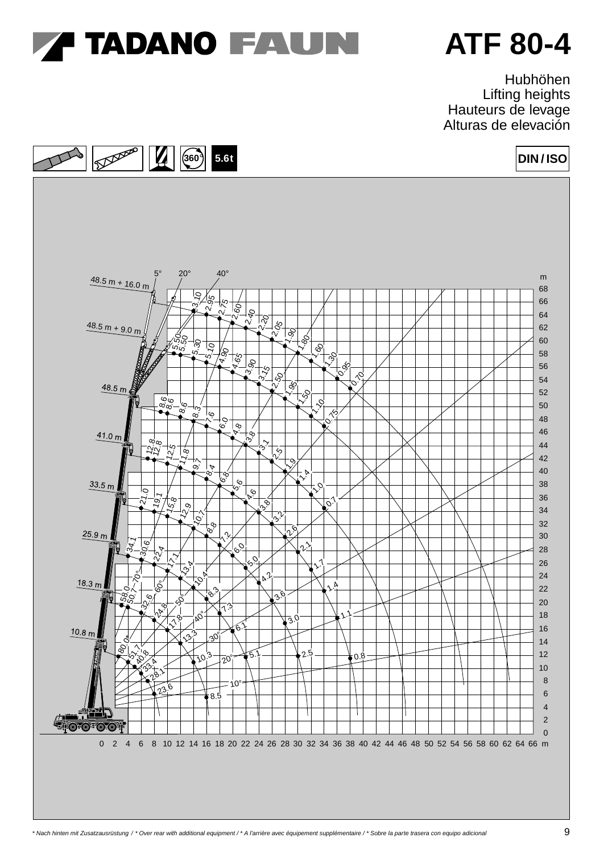

Hubhöhen Lifting heights Hauteurs de levage Alturas de elevación

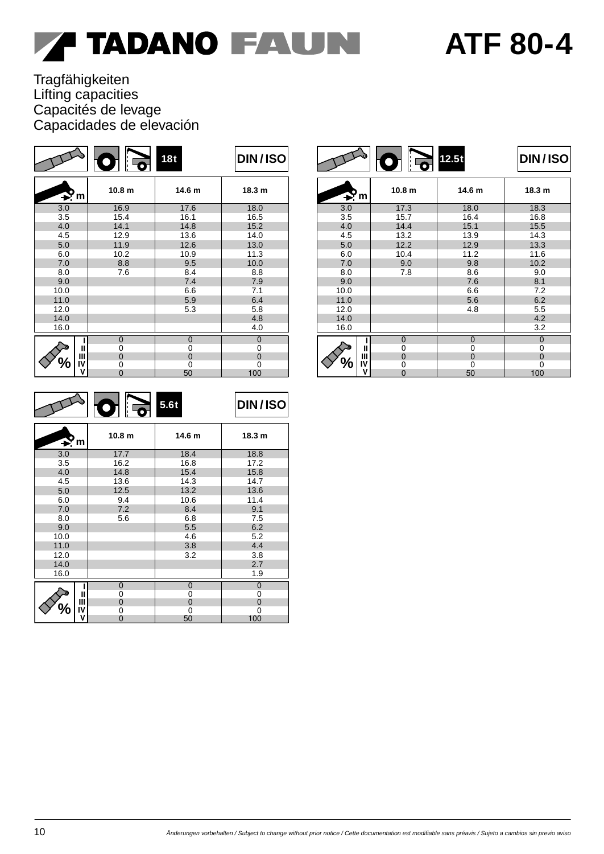## **ATF 80-4**

### Tragfähigkeiten Lifting capacities Capacités de levage Capacidades de elevación

|                                                    | ं न्वे<br>$\bullet$ | 18t          | <b>DIN/ISO</b>    |
|----------------------------------------------------|---------------------|--------------|-------------------|
| $\blacktriangleright$ m                            | 10.8 <sub>m</sub>   | 14.6 m       | 18.3 <sub>m</sub> |
| 3.0                                                | 16.9                | 17.6         | 18.0              |
| 3.5                                                | 15.4                | 16.1         | 16.5              |
| 4.0                                                | 14.1                | 14.8         | 15.2              |
| 4.5                                                | 12.9                | 13.6         | 14.0              |
| 5.0                                                | 11.9                | 12.6         | 13.0              |
| 6.0                                                | 10.2                | 10.9         | 11.3              |
| 7.0                                                | 8.8                 | 9.5          | 10.0              |
| 8.0                                                | 7.6                 | 8.4          | 8.8               |
| 9.0                                                |                     | 7.4          | 7.9               |
| 10.0                                               |                     | 6.6          | 7.1               |
| 11.0                                               |                     | 5.9          | 6.4               |
| 12.0                                               |                     | 5.3          | 5.8               |
| 14.0                                               |                     |              | 4.8               |
| 16.0                                               |                     |              | 4.0               |
| ı                                                  | $\mathbf{0}$        | $\mathbf{0}$ | $\overline{0}$    |
| Ш                                                  | 0                   | 0            | 0                 |
| Ш                                                  | $\Omega$            | $\Omega$     | $\Omega$          |
| $\boldsymbol{\theta}_{\boldsymbol{\lambda}}$<br>IV | 0                   | 0            | 0                 |
| v                                                  | $\Omega$            | 50           | 100               |

|                     | l: To<br>$\bullet$ | 12.5t          | <b>DIN/ISO</b> |
|---------------------|--------------------|----------------|----------------|
| $\rightarrow$ m     | 10.8 <sub>m</sub>  | 14.6 m         | 18.3 m         |
| 3.0                 | 17.3               | 18.0           | 18.3           |
| 3.5                 | 15.7               | 16.4           | 16.8           |
| 4.0                 | 14.4               | 15.1           | 15.5           |
| 4.5                 | 13.2               | 13.9           | 14.3           |
| 5.0                 | 12.2               | 12.9           | 13.3           |
| 6.0                 | 10.4               | 11.2           | 11.6           |
| 7.0                 | 9.0                | 9.8            | 10.2           |
| 8.0                 | 7.8                | 8.6            | 9.0            |
| 9.0                 |                    | 7.6            | 8.1            |
| 10.0                |                    | 6.6            | 7.2            |
| 11.0                |                    | 5.6            | 6.2            |
| 12.0                |                    | 4.8            | 5.5            |
| 14.0                |                    |                | 4.2            |
| 16.0                |                    |                | 3.2            |
| ı                   | $\overline{0}$     | $\overline{0}$ | $\overline{0}$ |
| Ш                   | 0                  | 0              | 0              |
| Ш                   | $\overline{0}$     | 0              | $\mathbf 0$    |
| $\frac{1}{2}$<br>IV | 0                  | $\Omega$       | 0              |
| v                   | $\Omega$           | 50             | 100            |

|                                                   | ैं न<br>$\bullet$ | 5.6t        | DIN/ISO           |
|---------------------------------------------------|-------------------|-------------|-------------------|
| $\rightarrow$ m                                   | 10.8 <sub>m</sub> | 14.6 m      | 18.3 <sub>m</sub> |
| 3.0                                               | 17.7              | 18.4        | 18.8              |
| 3.5                                               | 16.2              | 16.8        | 17.2              |
| 4.0                                               | 14.8              | 15.4        | 15.8              |
| 4.5                                               | 13.6              | 14.3        | 14.7              |
| 5.0                                               | 12.5              | 13.2        | 13.6              |
| 6.0                                               | 9.4               | 10.6        | 11.4              |
| 7.0                                               | 7.2               | 8.4         | 9.1               |
| 8.0                                               | 5.6               | 6.8         | 7.5               |
| 9.0                                               |                   | 5.5         | 6.2               |
| 10.0                                              |                   | 4.6         | 5.2               |
| 11.0                                              |                   | 3.8         | 4.4               |
| 12.0                                              |                   | 3.2         | 3.8               |
| 14.0                                              |                   |             | 2.7               |
| 16.0                                              |                   |             | 1.9               |
| ı                                                 | $\mathbf{0}$      | $\mathbf 0$ | $\overline{0}$    |
| Ш                                                 | 0                 | 0           | 0                 |
| Ш                                                 | $\mathbf 0$       | 0           | $\mathbf 0$       |
| $\boldsymbol{\theta}_{\boldsymbol{\delta}}$<br>IV | 0                 | 0           | 0                 |
| v                                                 | $\overline{0}$    | 50          | 100               |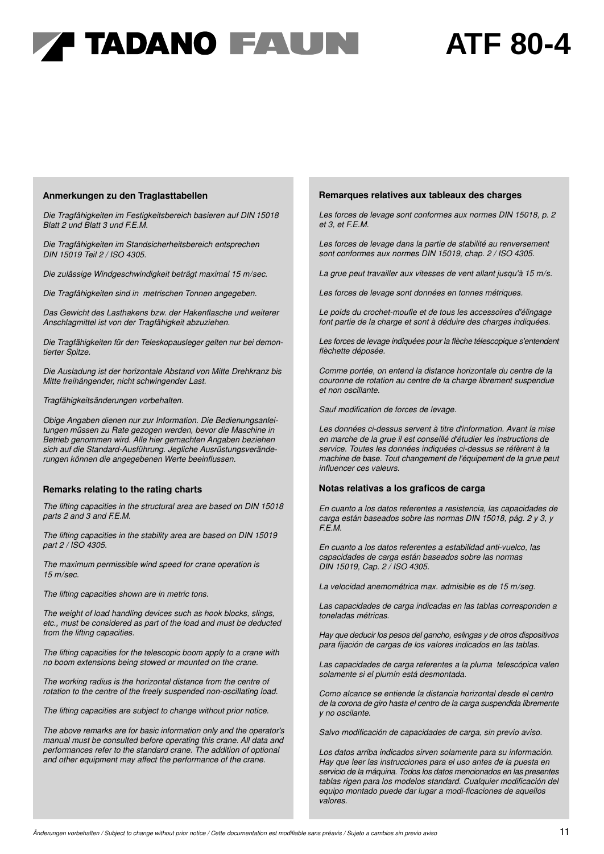### **ATF 80-4**

#### **Anmerkungen zu den Traglasttabellen**

*Die Tragfähigkeiten im Festigkeitsbereich basieren auf DIN 15018 Blatt 2 und Blatt 3 und F.E.M.*

*Die Tragfähigkeiten im Standsicherheitsbereich entsprechen DIN 15019 Teil 2 / ISO 4305.*

*Die zulässige Windgeschwindigkeit beträgt maximal 15 m/sec.*

*Die Tragfähigkeiten sind in metrischen Tonnen angegeben.*

*Das Gewicht des Lasthakens bzw. der Hakenflasche und weiterer Anschlagmittel ist von der Tragfähigkeit abzuziehen.*

*Die Tragfähigkeiten für den Teleskopausleger gelten nur bei demontierter Spitze.*

*Die Ausladung ist der horizontale Abstand von Mitte Drehkranz bis Mitte freihängender, nicht schwingender Last.*

*Tragfähigkeitsänderungen vorbehalten.*

*Obige Angaben dienen nur zur Information. Die Bedienungsanleitungen müssen zu Rate gezogen werden, bevor die Maschine in Betrieb genommen wird. Alle hier gemachten Angaben beziehen sich auf die Standard-Ausführung. Jegliche Ausrüstungsveränderungen können die angegebenen Werte beeinflussen.*

#### **Remarks relating to the rating charts**

*The lifting capacities in the structural area are based on DIN 15018 parts 2 and 3 and F.E.M.*

*The lifting capacities in the stability area are based on DIN 15019 part 2 / ISO 4305.*

*The maximum permissible wind speed for crane operation is 15 m/sec.*

*The lifting capacities shown are in metric tons.*

*The weight of load handling devices such as hook blocks, slings, etc., must be considered as part of the load and must be deducted from the lifting capacities.*

*The lifting capacities for the telescopic boom apply to a crane with no boom extensions being stowed or mounted on the crane.*

*The working radius is the horizontal distance from the centre of rotation to the centre of the freely suspended non-oscillating load.*

*The lifting capacities are subject to change without prior notice.*

*The above remarks are for basic information only and the operator's manual must be consulted before operating this crane. All data and performances refer to the standard crane. The addition of optional and other equipment may affect the performance of the crane.*

#### **Remarques relatives aux tableaux des charges**

*Les forces de levage sont conformes aux normes DIN 15018, p. 2 et 3, et F.E.M.*

*Les forces de levage dans la partie de stabilité au renversement sont conformes aux normes DIN 15019, chap. 2 / ISO 4305.*

*La grue peut travailler aux vitesses de vent allant jusqu'à 15 m/s.*

*Les forces de levage sont données en tonnes métriques.*

*Le poids du crochet-moufle et de tous les accessoires d'élingage font partie de la charge et sont à déduire des charges indiquées.*

*Les forces de levage indiquées pour la flèche télescopique s'entendent flèchette déposée.*

*Comme portée, on entend la distance horizontale du centre de la couronne de rotation au centre de la charge librement suspendue et non oscillante.*

*Sauf modification de forces de levage.*

*Les données ci-dessus servent à titre d'information. Avant la mise en marche de la grue il est conseillé d'étudier les instructions de service. Toutes les données indiquées ci-dessus se réfèrent à la machine de base. Tout changement de l'équipement de la grue peut influencer ces valeurs.*

#### **Notas relativas a los graficos de carga**

*En cuanto a los datos referentes a resistencia, las capacidades de carga están baseados sobre las normas DIN 15018, pág. 2 y 3, y F.E.M.*

*En cuanto a los datos referentes a estabilidad anti-vuelco, las capacidades de carga están baseados sobre las normas DIN 15019, Cap. 2 / ISO 4305.*

*La velocidad anemométrica max. admisible es de 15 m/seg.*

*Las capacidades de carga indicadas en las tablas corresponden a toneladas métricas.*

*Hay que deducir los pesos del gancho, eslingas y de otros dispositivos para fijación de cargas de los valores indicados en las tablas.*

*Las capacidades de carga referentes a la pluma telescópica valen solamente si el plumín está desmontada.*

*Como alcance se entiende la distancia horizontal desde el centro de la corona de giro hasta el centro de la carga suspendida libremente y no oscilante.*

*Salvo modificación de capacidades de carga, sin previo aviso.*

*Los datos arriba indicados sirven solamente para su información. Hay que leer las instrucciones para el uso antes de la puesta en servicio de la máquina. Todos los datos mencionados en las presentes tablas rigen para los modelos standard. Cualquier modificación del equipo montado puede dar lugar a modi-ficaciones de aquellos valores.*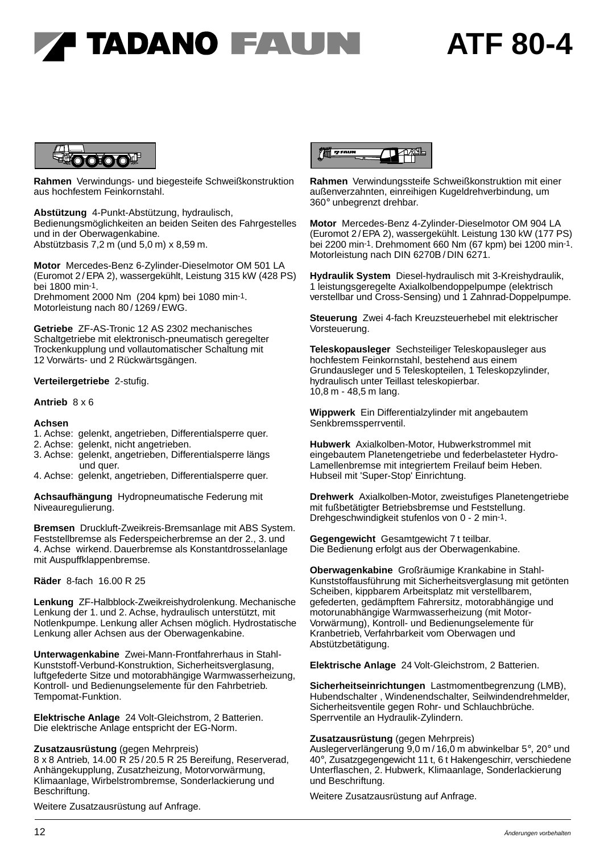



**Rahmen** Verwindungs- und biegesteife Schweißkonstruktion aus hochfestem Feinkornstahl.

**Abstützung** 4-Punkt-Abstützung, hydraulisch, Bedienungsmöglichkeiten an beiden Seiten des Fahrgestelles und in der Oberwagenkabine. Abstützbasis 7,2 m (und 5,0 m) x 8,59 m.

**Motor** Mercedes-Benz 6-Zylinder-Dieselmotor OM 501 LA (Euromot 2 /EPA 2), wassergekühlt, Leistung 315 kW (428 PS) bei 1800 min-1. Drehmoment 2000 Nm (204 kpm) bei 1080 min-1. Motorleistung nach 80/1269/EWG.

**Getriebe** ZF-AS-Tronic 12 AS 2302 mechanisches Schaltgetriebe mit elektronisch-pneumatisch geregelter Trockenkupplung und vollautomatischer Schaltung mit 12 Vorwärts- und 2 Rückwärtsgängen.

### **Verteilergetriebe** 2-stufig.

#### **Antrieb** 8 x 6

#### **Achsen**

- 1. Achse: gelenkt, angetrieben, Differentialsperre quer.
- 2. Achse: gelenkt, nicht angetrieben.
- 3. Achse: gelenkt, angetrieben, Differentialsperre längs und quer.
- 4. Achse: gelenkt, angetrieben, Differentialsperre quer.

**Achsaufhängung** Hydropneumatische Federung mit Niveauregulierung.

**Bremsen** Druckluft-Zweikreis-Bremsanlage mit ABS System. Feststellbremse als Federspeicherbremse an der 2., 3. und 4. Achse wirkend. Dauerbremse als Konstantdrosselanlage mit Auspuffklappenbremse.

**Räder** 8-fach 16.00 R 25

**Lenkung** ZF-Halbblock-Zweikreishydrolenkung. Mechanische Lenkung der 1. und 2. Achse, hydraulisch unterstützt, mit Notlenkpumpe. Lenkung aller Achsen möglich. Hydrostatische Lenkung aller Achsen aus der Oberwagenkabine.

**Unterwagenkabine** Zwei-Mann-Frontfahrerhaus in Stahl-Kunststoff-Verbund-Konstruktion, Sicherheitsverglasung, luftgefederte Sitze und motorabhängige Warmwasserheizung, Kontroll- und Bedienungselemente für den Fahrbetrieb. Tempomat-Funktion.

**Elektrische Anlage** 24 Volt-Gleichstrom, 2 Batterien. Die elektrische Anlage entspricht der EG-Norm.

**Zusatzausrüstung** (gegen Mehrpreis)

8 x 8 Antrieb, 14.00 R 25 / 20.5 R 25 Bereifung, Reserverad, Anhängekupplung, Zusatzheizung, Motorvorwärmung, Klimaanlage, Wirbelstrombremse, Sonderlackierung und Beschriftung.

Weitere Zusatzausrüstung auf Anfrage.



**Rahmen** Verwindungssteife Schweißkonstruktion mit einer außenverzahnten, einreihigen Kugeldrehverbindung, um 360° unbegrenzt drehbar.

**Motor** Mercedes-Benz 4-Zylinder-Dieselmotor OM 904 LA (Euromot 2 /EPA 2), wassergekühlt. Leistung 130 kW (177 PS) bei 2200 min-1. Drehmoment 660 Nm (67 kpm) bei 1200 min-1. Motorleistung nach DIN 6270B / DIN 6271.

**Hydraulik System** Diesel-hydraulisch mit 3-Kreishydraulik, 1 leistungsgeregelte Axialkolbendoppelpumpe (elektrisch verstellbar und Cross-Sensing) und 1 Zahnrad-Doppelpumpe.

**Steuerung** Zwei 4-fach Kreuzsteuerhebel mit elektrischer Vorsteuerung.

**Teleskopausleger** Sechsteiliger Teleskopausleger aus hochfestem Feinkornstahl, bestehend aus einem Grundausleger und 5 Teleskopteilen, 1 Teleskopzylinder, hydraulisch unter Teillast teleskopierbar. 10,8 m - 48,5 m lang.

**Wippwerk** Ein Differentialzylinder mit angebautem Senkbremssperrventil.

**Hubwerk** Axialkolben-Motor, Hubwerkstrommel mit eingebautem Planetengetriebe und federbelasteter Hydro-Lamellenbremse mit integriertem Freilauf beim Heben. Hubseil mit 'Super-Stop' Einrichtung.

**Drehwerk** Axialkolben-Motor, zweistufiges Planetengetriebe mit fußbetätigter Betriebsbremse und Feststellung. Drehgeschwindigkeit stufenlos von 0 - 2 min-1.

**Gegengewicht** Gesamtgewicht 7 t teilbar. Die Bedienung erfolgt aus der Oberwagenkabine.

**Oberwagenkabine** Großräumige Krankabine in Stahl-Kunststoffausführung mit Sicherheitsverglasung mit getönten Scheiben, kippbarem Arbeitsplatz mit verstellbarem, gefederten, gedämpftem Fahrersitz, motorabhängige und motorunabhängige Warmwasserheizung (mit Motor-Vorwärmung), Kontroll- und Bedienungselemente für Kranbetrieb, Verfahrbarkeit vom Oberwagen und Abstützbetätigung.

**Elektrische Anlage** 24 Volt-Gleichstrom, 2 Batterien.

**Sicherheitseinrichtungen** Lastmomentbegrenzung (LMB), Hubendschalter , Windenendschalter, Seilwindendrehmelder, Sicherheitsventile gegen Rohr- und Schlauchbrüche. Sperrventile an Hydraulik-Zylindern.

#### **Zusatzausrüstung** (gegen Mehrpreis)

Auslegerverlängerung 9,0 m / 16,0 m abwinkelbar 5°, 20° und 40°, Zusatzgegengewicht 11 t, 6 t Hakengeschirr, verschiedene Unterflaschen, 2. Hubwerk, Klimaanlage, Sonderlackierung und Beschriftung.

Weitere Zusatzausrüstung auf Anfrage.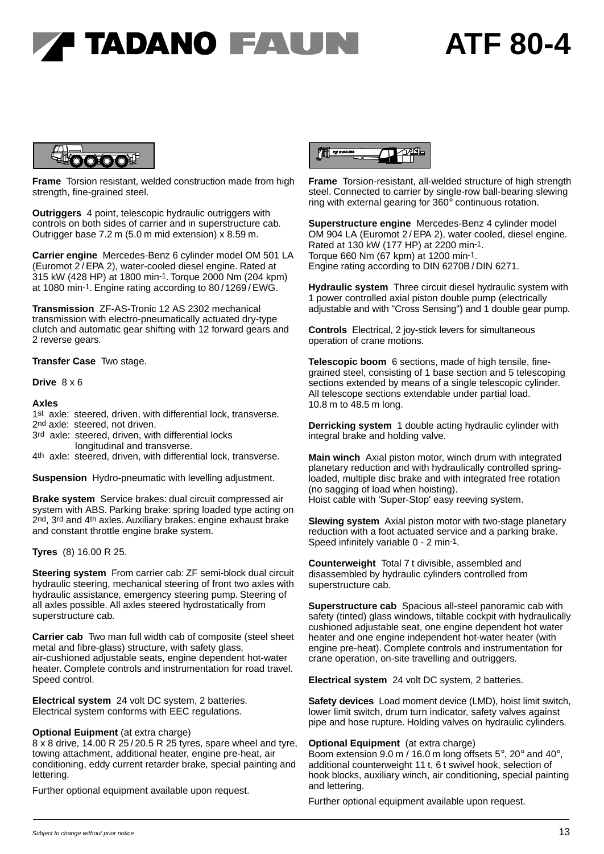## **A TADANO FAUNI**

### **ATF 80-4**



**Frame** Torsion resistant, welded construction made from high strength, fine-grained steel.

**Outriggers** 4 point, telescopic hydraulic outriggers with controls on both sides of carrier and in superstructure cab. Outrigger base 7.2 m (5.0 m mid extension) x 8.59 m.

**Carrier engine** Mercedes-Benz 6 cylinder model OM 501 LA (Euromot 2/EPA 2), water-cooled diesel engine. Rated at 315 kW (428 HP) at 1800 min-1. Torque 2000 Nm (204 kpm) at 1080 min-1. Engine rating according to 80 / 1269 / EWG.

**Transmission** ZF-AS-Tronic 12 AS 2302 mechanical transmission with electro-pneumatically actuated dry-type clutch and automatic gear shifting with 12 forward gears and 2 reverse gears.

**Transfer Case** Two stage.

**Drive** 8 x 6

#### **Axles**

1st axle: steered, driven, with differential lock, transverse. 2nd axle: steered, not driven.

- 3rd axle: steered, driven, with differential locks longitudinal and transverse.
- 4<sup>th</sup> axle: steered, driven, with differential lock, transverse.

**Suspension** Hydro-pneumatic with levelling adjustment.

**Brake system** Service brakes: dual circuit compressed air system with ABS. Parking brake: spring loaded type acting on 2nd, 3rd and 4th axles. Auxiliary brakes: engine exhaust brake and constant throttle engine brake system.

**Tyres** (8) 16.00 R 25.

**Steering system** From carrier cab: ZF semi-block dual circuit hydraulic steering, mechanical steering of front two axles with hydraulic assistance, emergency steering pump. Steering of all axles possible. All axles steered hydrostatically from superstructure cab.

**Carrier cab** Two man full width cab of composite (steel sheet metal and fibre-glass) structure, with safety glass, air-cushioned adjustable seats, engine dependent hot-water heater. Complete controls and instrumentation for road travel. Speed control.

**Electrical system** 24 volt DC system, 2 batteries. Electrical system conforms with EEC regulations.

### **Optional Euipment** (at extra charge)

8 x 8 drive, 14.00 R 25 / 20.5 R 25 tyres, spare wheel and tyre, towing attachment, additional heater, engine pre-heat, air conditioning, eddy current retarder brake, special painting and lettering.

Further optional equipment available upon request.



**Frame** Torsion-resistant, all-welded structure of high strength steel. Connected to carrier by single-row ball-bearing slewing ring with external gearing for 360° continuous rotation.

**Superstructure engine** Mercedes-Benz 4 cylinder model OM 904 LA (Euromot 2 / EPA 2), water cooled, diesel engine. Rated at 130 kW (177 HP) at 2200 min-1. Torque 660 Nm (67 kpm) at 1200 min-1. Engine rating according to DIN 6270B/ DIN 6271.

**Hydraulic system** Three circuit diesel hydraulic system with 1 power controlled axial piston double pump (electrically adjustable and with "Cross Sensing") and 1 double gear pump.

**Controls** Electrical, 2 joy-stick levers for simultaneous operation of crane motions.

**Telescopic boom** 6 sections, made of high tensile, finegrained steel, consisting of 1 base section and 5 telescoping sections extended by means of a single telescopic cylinder. All telescope sections extendable under partial load. 10.8 m to 48.5 m long.

**Derricking system** 1 double acting hydraulic cylinder with integral brake and holding valve.

**Main winch** Axial piston motor, winch drum with integrated planetary reduction and with hydraulically controlled springloaded, multiple disc brake and with integrated free rotation (no sagging of load when hoisting). Hoist cable with 'Super-Stop' easy reeving system.

**Slewing system** Axial piston motor with two-stage planetary reduction with a foot actuated service and a parking brake. Speed infinitely variable 0 - 2 min-1.

**Counterweight** Total 7 t divisible, assembled and disassembled by hydraulic cylinders controlled from superstructure cab.

**Superstructure cab** Spacious all-steel panoramic cab with safety (tinted) glass windows, tiltable cockpit with hydraulically cushioned adjustable seat, one engine dependent hot water heater and one engine independent hot-water heater (with engine pre-heat). Complete controls and instrumentation for crane operation, on-site travelling and outriggers.

**Electrical system** 24 volt DC system, 2 batteries.

**Safety devices** Load moment device (LMD), hoist limit switch, lower limit switch, drum turn indicator, safety valves against pipe and hose rupture. Holding valves on hydraulic cylinders.

### **Optional Equipment** (at extra charge)

Boom extension 9.0 m / 16.0 m long offsets 5°, 20° and 40°, additional counterweight 11 t, 6 t swivel hook, selection of hook blocks, auxiliary winch, air conditioning, special painting and lettering.

Further optional equipment available upon request.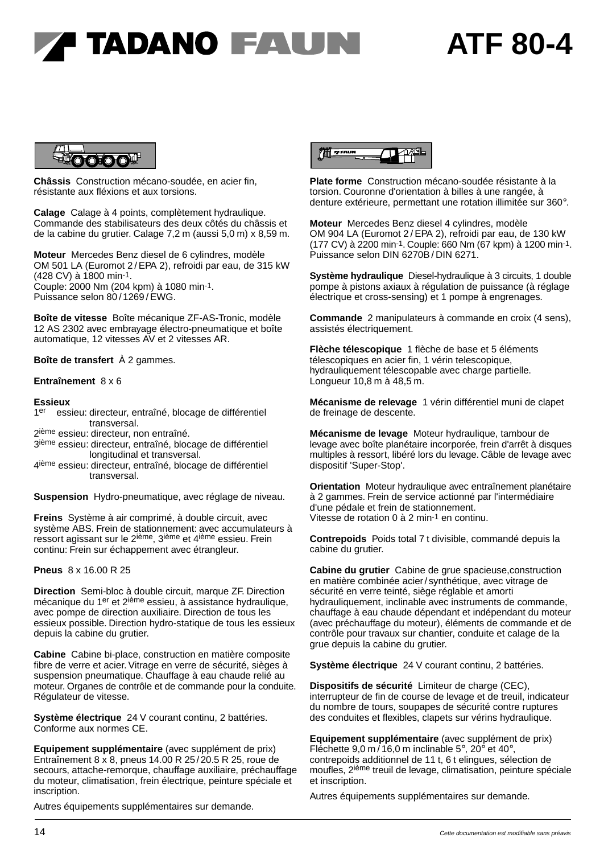### **ATF 80-4**



**Châssis** Construction mécano-soudée, en acier fin, résistante aux fléxions et aux torsions.

**Calage** Calage à 4 points, complètement hydraulique. Commande des stabilisateurs des deux côtés du châssis et de la cabine du grutier. Calage 7,2 m (aussi 5,0 m) x 8,59 m.

**Moteur** Mercedes Benz diesel de 6 cylindres, modèle OM 501 LA (Euromot 2 / EPA 2), refroidi par eau, de 315 kW (428 CV) à 1800 min-1. Couple: 2000 Nm (204 kpm) à 1080 min-1. Puissance selon 80/1269/EWG.

**Boîte de vitesse** Boîte mécanique ZF-AS-Tronic, modèle 12 AS 2302 avec embrayage électro-pneumatique et boîte automatique, 12 vitesses AV et 2 vitesses AR.

**Boîte de transfert** À 2 gammes.

### **Entraînement** 8 x 6

#### **Essieux**

- $1<sup>er</sup>$ er essieu: directeur, entraîné, blocage de différentiel Essieux<br>1<sup>er</sup> essieu: directeur, en<br>2<sup>ième</sup> essieu: directeur n
- 2 ième essieu: directeur, non entraîné.
- 3<sup>ième</sup> essieu: directeur, entraîné, blocage de différentiel 2ième essieu: directeur, non entraîné.<br>3<sup>ième</sup> essieu: directeur, entraîné, blocag<br>longitudinal et transversal.<br>4<sup>ième</sup> essieu: directeur, entraîné, blocag
- 4 ième essieu: directeur, entraîné, blocage de différentiel transversal.<br>
4<sup>ième</sup> essieu: directeur, e<br>
transversal.

**Suspension** Hydro-pneumatique, avec réglage de niveau.

**Freins** Système à air comprimé, à double circuit, avec système ABS. Frein de stationnement: avec accumulateurs à ressort agissant sur le 2ième, 3ième et 4ième essieu. Frein continu: Frein sur échappement avec étrangleur.

**Pneus** 8 x 16.00 R 25

**Direction** Semi-bloc à double circuit, marque ZF. Direction mécanique du 1<sup>er</sup> et 2<sup>ième</sup> essieu, à assistance hydraulique, avec pompe de direction auxiliaire. Direction de tous les essieux possible. Direction hydro-statique de tous les essieux depuis la cabine du grutier.

**Cabine** Cabine bi-place, construction en matière composite fibre de verre et acier. Vitrage en verre de sécurité, sièges à suspension pneumatique. Chauffage à eau chaude relié au moteur. Organes de contrôle et de commande pour la conduite. Régulateur de vitesse.

**Système électrique** 24 V courant continu, 2 battéries. Conforme aux normes CE.

**Equipement supplémentaire** (avec supplément de prix) Entraînement 8 x 8, pneus 14.00 R 25 / 20.5 R 25, roue de secours, attache-remorque, chauffage auxiliaire, préchauffage du moteur, climatisation, frein électrique, peinture spéciale et inscription.

Autres équipements supplémentaires sur demande.



**Plate forme** Construction mécano-soudée résistante à la torsion. Couronne d'orientation à billes à une rangée, à denture extérieure, permettant une rotation illimitée sur 360°.

**Moteur** Mercedes Benz diesel 4 cylindres, modèle OM 904 LA (Euromot 2 / EPA 2), refroidi par eau, de 130 kW (177 CV) à 2200 min-1. Couple: 660 Nm (67 kpm) à 1200 min-1. Puissance selon DIN 6270B / DIN 6271.

**Système hydraulique** Diesel-hydraulique à 3 circuits, 1 double pompe à pistons axiaux à régulation de puissance (à réglage électrique et cross-sensing) et 1 pompe à engrenages.

**Commande** 2 manipulateurs à commande en croix (4 sens), assistés électriquement.

**Flèche télescopique** 1 flèche de base et 5 éléments télescopiques en acier fin, 1 vérin telescopique, hydrauliquement télescopable avec charge partielle. Longueur 10,8 m à 48,5 m.

**Mécanisme de relevage** 1 vérin différentiel muni de clapet de freinage de descente.

**Mécanisme de levage** Moteur hydraulique, tambour de levage avec boîte planétaire incorporée, frein d'arrêt à disques multiples à ressort, libéré lors du levage. Câble de levage avec dispositif 'Super-Stop'.

**Orientation** Moteur hydraulique avec entraînement planétaire à 2 gammes. Frein de service actionné par l'intermédiaire d'une pédale et frein de stationnement. Vitesse de rotation 0 à 2 min-1 en continu.

**Contrepoids** Poids total 7 t divisible, commandé depuis la cabine du grutier.

**Cabine du grutier** Cabine de grue spacieuse,construction en matière combinée acier/ synthétique, avec vitrage de sécurité en verre teinté, siège réglable et amorti hydrauliquement, inclinable avec instruments de commande, chauffage à eau chaude dépendant et indépendant du moteur (avec préchauffage du moteur), éléments de commande et de contrôle pour travaux sur chantier, conduite et calage de la grue depuis la cabine du grutier.

**Système électrique** 24 V courant continu, 2 battéries.

**Dispositifs de sécurité** Limiteur de charge (CEC), interrupteur de fin de course de levage et de treuil, indicateur du nombre de tours, soupapes de sécurité contre ruptures des conduites et flexibles, clapets sur vérins hydraulique.

**Equipement supplémentaire** (avec supplément de prix) Fléchette 9,0 m / 16,0 m inclinable 5°, 20° et 40°, contrepoids additionnel de 11 t, 6 t elingues, sélection de moufles, 2ième treuil de levage, climatisation, peinture spéciale et inscription.

Autres équipements supplémentaires sur demande.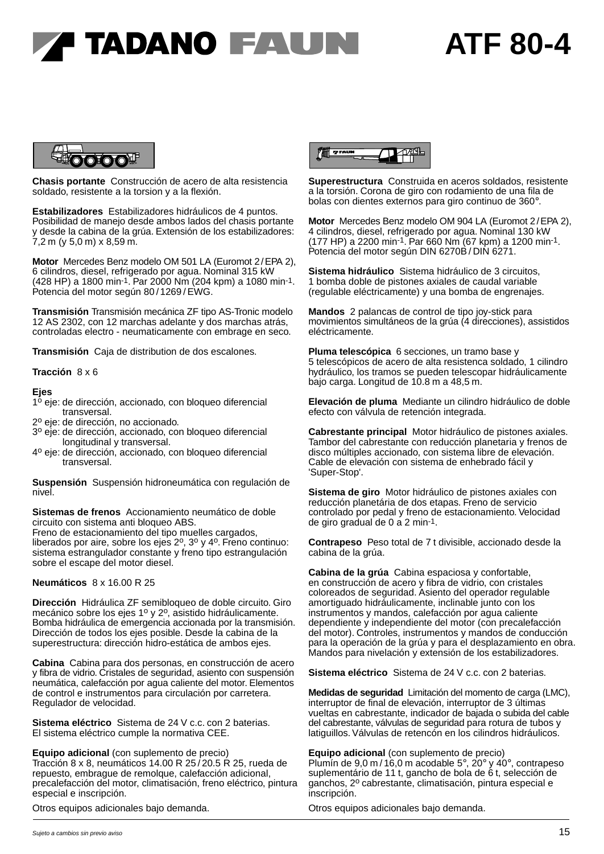### **ATF 80-4**



**Chasis portante** Construcción de acero de alta resistencia soldado, resistente a la torsion y a la flexión.

**Estabilizadores** Estabilizadores hidráulicos de 4 puntos. Posibilidad de manejo desde ambos lados del chasis portante y desde la cabina de la grúa. Extensión de los estabilizadores: 7,2 m (y 5,0 m) x 8,59 m.

**Motor** Mercedes Benz modelo OM 501 LA (Euromot 2/EPA 2), 6 cilindros, diesel, refrigerado por agua. Nominal 315 kW (428 HP) a 1800 min-1. Par 2000 Nm (204 kpm) a 1080 min-1. Potencia del motor según 80/1269/EWG.

**Transmisión** Transmisión mecánica ZF tipo AS-Tronic modelo 12 AS 2302, con 12 marchas adelante y dos marchas atrás, controladas electro - neumaticamente con embrage en seco.

**Transmisión** Caja de distribution de dos escalones.

#### **Tracción** 8 x 6

### **Ejes**

- 1<sup>º</sup> eje: de dirección, accionado, con bloqueo diferencial<br>transversal.
- 2º eje: de dirección, no accionado.
- 3 <sup>o</sup> eje: de dirección, accionado, con bloqueo diferencial longitudinal y transversal.
- 4 <sup>o</sup> eje: de dirección, accionado, con bloqueo diferencial transversal.

**Suspensión** Suspensión hidroneumática con regulación de nivel.

**Sistemas de frenos** Accionamiento neumático de doble circuito con sistema anti bloqueo ABS.

Freno de estacionamiento del tipo muelles cargados, liberados por aire, sobre los ejes  $2^0$ ,  $3^0$  y  $4^0$ . Freno continuo: sistema estrangulador constante y freno tipo estrangulación sobre el escape del motor diesel.

**Neumáticos** 8 x 16.00 R 25

**Dirección** Hidráulica ZF semibloqueo de doble circuito. Giro mecánico sobre los ejes 1º y 2º, asistido hidráulicamente. Bomba hidráulica de emergencia accionada por la transmisión. Dirección de todos los ejes posible. Desde la cabina de la superestructura: dirección hidro-estática de ambos ejes.

**Cabina** Cabina para dos personas, en construcción de acero y fibra de vidrio. Cristales de seguridad, asiento con suspensión neumática, calefacción por agua caliente del motor. Elementos de control e instrumentos para circulación por carretera. Regulador de velocidad.

**Sistema eléctrico** Sistema de 24 V c.c. con 2 baterias. El sistema eléctrico cumple la normativa CEE.

**Equipo adicional** (con suplemento de precio) Tracción 8 x 8, neumáticos 14.00 R 25 / 20.5 R 25, rueda de repuesto, embrague de remolque, calefacción adicional, precalefacción del motor, climatisación, freno eléctrico, pintura especial e inscripción.

Otros equipos adicionales bajo demanda.



**Superestructura** Construida en aceros soldados, resistente a la torsión. Corona de giro con rodamiento de una fila de bolas con dientes externos para giro continuo de 360°.

**Motor** Mercedes Benz modelo OM 904 LA (Euromot 2/EPA 2), 4 cilindros, diesel, refrigerado por agua. Nominal 130 kW (177 HP) a 2200 min-1. Par 660 Nm (67 kpm) a 1200 min-1. Potencia del motor según DIN 6270B / DIN 6271.

**Sistema hidráulico** Sistema hidráulico de 3 circuitos, 1 bomba doble de pistones axiales de caudal variable (regulable eléctricamente) y una bomba de engrenajes.

**Mandos** 2 palancas de control de tipo joy-stick para movimientos simultáneos de la grúa (4 direcciones), assistidos eléctricamente.

**Pluma telescópica** 6 secciones, un tramo base y 5 telescópicos de acero de alta resistenca soldado, 1 cilindro hydráulico, los tramos se pueden telescopar hidráulicamente bajo carga. Longitud de 10.8 m a 48,5 m.

**Elevación de pluma** Mediante un cilindro hidráulico de doble efecto con válvula de retención integrada.

**Cabrestante principal** Motor hidráulico de pistones axiales. Tambor del cabrestante con reducción planetaria y frenos de disco múltiples accionado, con sistema libre de elevación. Cable de elevación con sistema de enhebrado fácil y 'Super-Stop'.

**Sistema de giro** Motor hidráulico de pistones axiales con reducción planetária de dos etapas. Freno de servicio controlado por pedal y freno de estacionamiento. Velocidad de giro gradual de 0 a 2 min-1.

**Contrapeso** Peso total de 7 t divisible, accionado desde la cabina de la grúa.

**Cabina de la grúa** Cabina espaciosa y confortable, en construcción de acero y fibra de vidrio, con cristales coloreados de seguridad. Asiento del operador regulable amortiguado hidráulicamente, inclinable junto con los instrumentos y mandos, calefacción por agua caliente dependiente y independiente del motor (con precalefacción del motor). Controles, instrumentos y mandos de conducción para la operación de la grúa y para el desplazamiento en obra. Mandos para nivelación y extensión de los estabilizadores.

**Sistema eléctrico** Sistema de 24 V c.c. con 2 baterias.

**Medidas de seguridad** Limitación del momento de carga (LMC), interruptor de final de elevación, interruptor de 3 últimas vueltas en cabrestante, indicador de bajada o subida del cable del cabrestante, válvulas de seguridad para rotura de tubos y latiguillos. Válvulas de retencón en los cilindros hidráulicos.

**Equipo adicional** (con suplemento de precio) Plumín de 9,0 m / 16,0 m acodable 5°, 20° y 40°, contrapeso suplementário de 11 t, gancho de bola de 6 t, selección de ganchos, 2º cabrestante, climatisación, pintura especial e inscripción.

Otros equipos adicionales bajo demanda.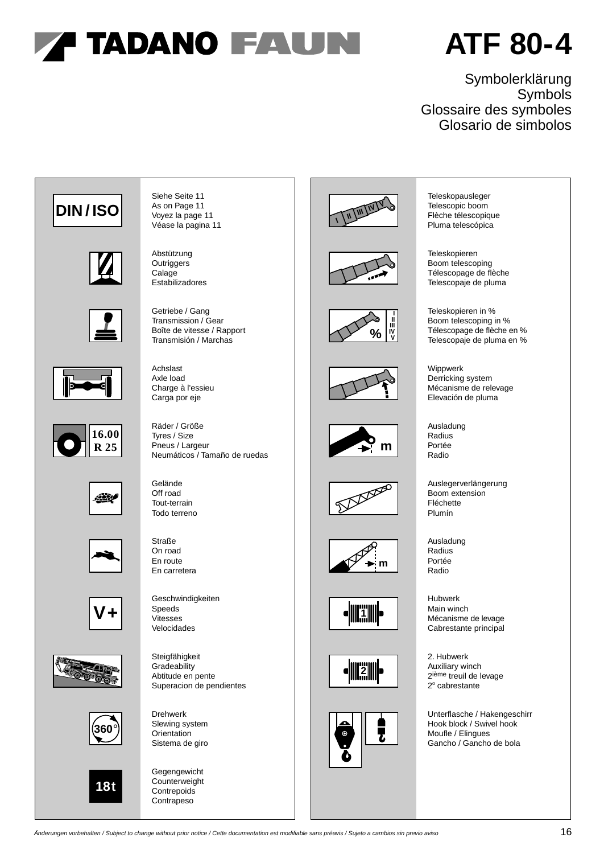## **ATF 80-4**

### Symbolerklärung Symbols Glossaire des symboles Glosario de simbolos